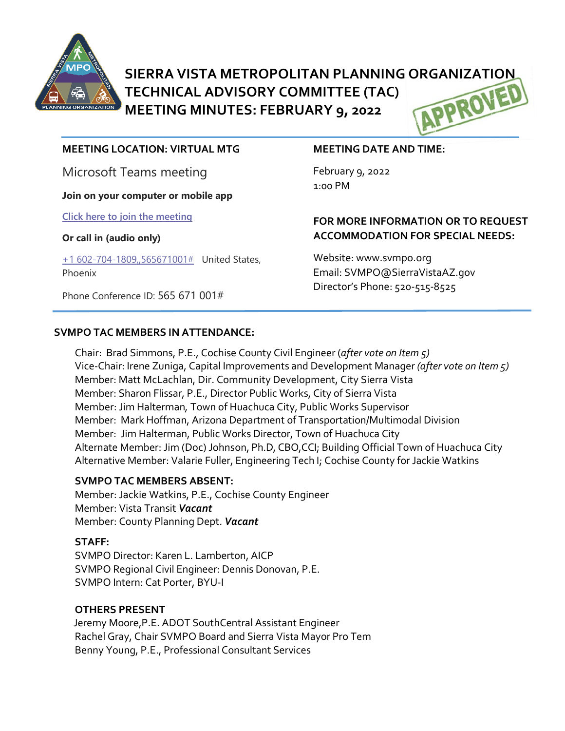

**SIERRA VISTA METROPOLITAN PLANNING ORGANIZATION<br>TECHNICAL ADVISORY COMMITTEE (TAC)<br>MEETING MINUTES: FEBRUARY 9, 2022 TECHNICAL ADVISORY COMMITTEE (TAC) MEETING MINUTES: FEBRUARY 9, 2022**

#### **MEETING LOCATION: VIRTUAL MTG**

Microsoft Teams meeting

**Join on your computer or mobile app**

**[Click here to join the meeting](https://teams.microsoft.com/l/meetup-join/19%3ameeting_Y2JmNDJkNzgtMDgwMS00ZWI3LWJhM2UtZGI4Y2E4ZGIxMjc2%40thread.v2/0?context=%7b%22Tid%22%3a%2236676c86-4a76-422a-8d4e-223152386488%22%2c%22Oid%22%3a%22956098f9-794b-4934-9a34-9a99f53bf1f3%22%7d)**

#### **Or call in (audio only)**

[+1 602-704-1809,,565671001#](tel:+16027041809,,565671001#%20) United States, Phoenix

Phone Conference ID: 565 671 001#

#### **MEETING DATE AND TIME:**

February 9, 2022 1:00 PM

## **FOR MORE INFORMATION OR TO REQUEST ACCOMMODATION FOR SPECIAL NEEDS:**

Website: www.svmpo.org Email: SVMPO@SierraVistaAZ.gov Director's Phone: 520-515-8525

#### **SVMPO TAC MEMBERS IN ATTENDANCE:**

Chair: Brad Simmons, P.E., Cochise County Civil Engineer (*after vote on Item 5)* Vice-Chair: Irene Zuniga, Capital Improvements and Development Manager *(after vote on Item 5)* Member: Matt McLachlan, Dir. Community Development, City Sierra Vista Member: Sharon Flissar, P.E., Director Public Works, City of Sierra Vista Member: Jim Halterman*,* Town of Huachuca City, Public Works Supervisor Member: Mark Hoffman, Arizona Department of Transportation/Multimodal Division Member: Jim Halterman, Public Works Director, Town of Huachuca City Alternate Member: Jim (Doc) Johnson, Ph.D, CBO,CCI; Building Official Town of Huachuca City Alternative Member: Valarie Fuller, Engineering Tech I; Cochise County for Jackie Watkins

#### **SVMPO TAC MEMBERS ABSENT:**

Member: Jackie Watkins, P.E., Cochise County Engineer Member: Vista Transit *Vacant* Member: County Planning Dept. *Vacant*

#### **STAFF:**

SVMPO Director: Karen L. Lamberton, AICP SVMPO Regional Civil Engineer: Dennis Donovan, P.E. SVMPO Intern: Cat Porter, BYU-I

#### **OTHERS PRESENT**

 Jeremy Moore,P.E. ADOT SouthCentral Assistant Engineer Rachel Gray, Chair SVMPO Board and Sierra Vista Mayor Pro Tem Benny Young, P.E., Professional Consultant Services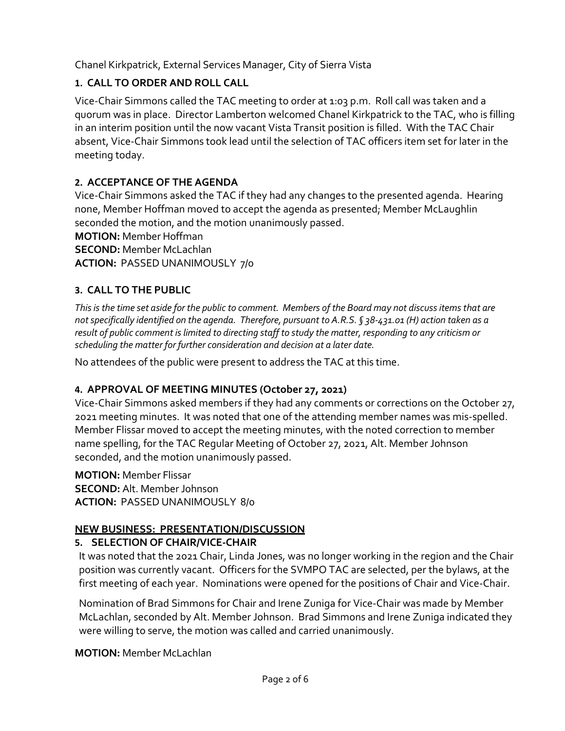Chanel Kirkpatrick, External Services Manager, City of Sierra Vista

# **1. CALL TO ORDER AND ROLL CALL**

Vice-Chair Simmons called the TAC meeting to order at 1:03 p.m. Roll call was taken and a quorum was in place. Director Lamberton welcomed Chanel Kirkpatrick to the TAC, who is filling in an interim position until the now vacant Vista Transit position is filled. With the TAC Chair absent, Vice-Chair Simmons took lead until the selection of TAC officers item set for later in the meeting today.

# **2. ACCEPTANCE OF THE AGENDA**

Vice-Chair Simmons asked the TAC if they had any changes to the presented agenda. Hearing none, Member Hoffman moved to accept the agenda as presented; Member McLaughlin seconded the motion, and the motion unanimously passed.

**MOTION:** Member Hoffman

**SECOND:** Member McLachlan

**ACTION:** PASSED UNANIMOUSLY 7/0

# **3. CALL TO THE PUBLIC**

*This is the time set aside for the public to comment. Members of the Board may not discuss items that are not specifically identified on the agenda. Therefore, pursuant to A.R.S. § 38-431.01 (H) action taken as a result of public comment is limited to directing staff to study the matter, responding to any criticism or scheduling the matter for further consideration and decision at a later date.*

No attendees of the public were present to address the TAC at this time.

# **4. APPROVAL OF MEETING MINUTES (October 27, 2021)**

Vice-Chair Simmons asked members if they had any comments or corrections on the October 27, 2021 meeting minutes. It was noted that one of the attending member names was mis-spelled. Member Flissar moved to accept the meeting minutes, with the noted correction to member name spelling, for the TAC Regular Meeting of October 27, 2021, Alt. Member Johnson seconded, and the motion unanimously passed.

**MOTION:** Member Flissar **SECOND:** Alt. Member Johnson **ACTION:** PASSED UNANIMOUSLY 8/0

# **NEW BUSINESS: PRESENTATION/DISCUSSION**

# **5. SELECTION OF CHAIR/VICE-CHAIR**

It was noted that the 2021 Chair, Linda Jones, was no longer working in the region and the Chair position was currently vacant. Officers for the SVMPO TAC are selected, per the bylaws, at the first meeting of each year. Nominations were opened for the positions of Chair and Vice-Chair.

Nomination of Brad Simmons for Chair and Irene Zuniga for Vice-Chair was made by Member McLachlan, seconded by Alt. Member Johnson. Brad Simmons and Irene Zuniga indicated they were willing to serve, the motion was called and carried unanimously.

**MOTION:** Member McLachlan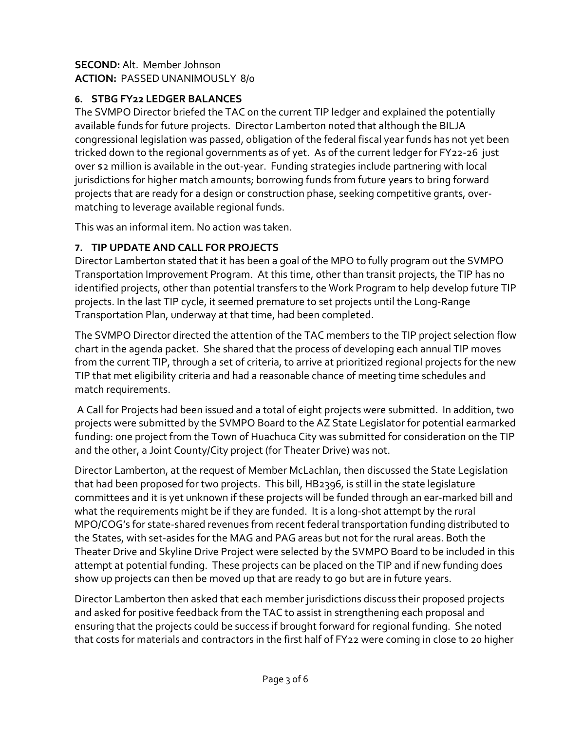### **SECOND:** Alt. Member Johnson **ACTION:** PASSED UNANIMOUSLY 8/0

# **6. STBG FY22 LEDGER BALANCES**

The SVMPO Director briefed the TAC on the current TIP ledger and explained the potentially available funds for future projects. Director Lamberton noted that although the BILJA congressional legislation was passed, obligation of the federal fiscal year funds has not yet been tricked down to the regional governments as of yet. As of the current ledger for FY22-26 just over \$2 million is available in the out-year. Funding strategies include partnering with local jurisdictions for higher match amounts; borrowing funds from future years to bring forward projects that are ready for a design or construction phase, seeking competitive grants, overmatching to leverage available regional funds.

This was an informal item. No action was taken.

# **7. TIP UPDATE AND CALL FOR PROJECTS**

Director Lamberton stated that it has been a goal of the MPO to fully program out the SVMPO Transportation Improvement Program. At this time, other than transit projects, the TIP has no identified projects, other than potential transfers to the Work Program to help develop future TIP projects. In the last TIP cycle, it seemed premature to set projects until the Long-Range Transportation Plan, underway at that time, had been completed.

The SVMPO Director directed the attention of the TAC members to the TIP project selection flow chart in the agenda packet. She shared that the process of developing each annual TIP moves from the current TIP, through a set of criteria, to arrive at prioritized regional projects for the new TIP that met eligibility criteria and had a reasonable chance of meeting time schedules and match requirements.

A Call for Projects had been issued and a total of eight projects were submitted. In addition, two projects were submitted by the SVMPO Board to the AZ State Legislator for potential earmarked funding: one project from the Town of Huachuca City was submitted for consideration on the TIP and the other, a Joint County/City project (for Theater Drive) was not.

Director Lamberton, at the request of Member McLachlan, then discussed the State Legislation that had been proposed for two projects. This bill, HB2396, is still in the state legislature committees and it is yet unknown if these projects will be funded through an ear-marked bill and what the requirements might be if they are funded. It is a long-shot attempt by the rural MPO/COG's for state-shared revenues from recent federal transportation funding distributed to the States, with set-asides for the MAG and PAG areas but not for the rural areas. Both the Theater Drive and Skyline Drive Project were selected by the SVMPO Board to be included in this attempt at potential funding. These projects can be placed on the TIP and if new funding does show up projects can then be moved up that are ready to go but are in future years.

Director Lamberton then asked that each member jurisdictions discuss their proposed projects and asked for positive feedback from the TAC to assist in strengthening each proposal and ensuring that the projects could be success if brought forward for regional funding. She noted that costs for materials and contractors in the first half of FY22 were coming in close to 20 higher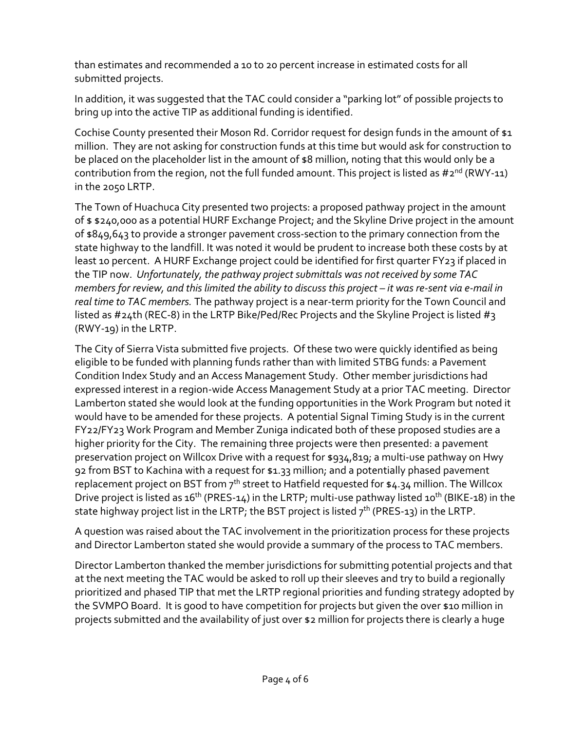than estimates and recommended a 10 to 20 percent increase in estimated costs for all submitted projects.

In addition, it was suggested that the TAC could consider a "parking lot" of possible projects to bring up into the active TIP as additional funding is identified.

Cochise County presented their Moson Rd. Corridor request for design funds in the amount of \$1 million. They are not asking for construction funds at this time but would ask for construction to be placed on the placeholder list in the amount of \$8 million, noting that this would only be a contribution from the region, not the full funded amount. This project is listed as  $\#2^{nd}$  (RWY-11) in the 2050 LRTP.

The Town of Huachuca City presented two projects: a proposed pathway project in the amount of \$ \$240,000 as a potential HURF Exchange Project; and the Skyline Drive project in the amount of \$849,643 to provide a stronger pavement cross-section to the primary connection from the state highway to the landfill. It was noted it would be prudent to increase both these costs by at least 10 percent. A HURF Exchange project could be identified for first quarter FY23 if placed in the TIP now. *Unfortunately, the pathway project submittals was not received by some TAC members for review, and this limited the ability to discuss this project – it was re-sent via e-mail in real time to TAC members.* The pathway project is a near-term priority for the Town Council and listed as #24th (REC-8) in the LRTP Bike/Ped/Rec Projects and the Skyline Project is listed #3 (RWY-19) in the LRTP.

The City of Sierra Vista submitted five projects. Of these two were quickly identified as being eligible to be funded with planning funds rather than with limited STBG funds: a Pavement Condition Index Study and an Access Management Study. Other member jurisdictions had expressed interest in a region-wide Access Management Study at a prior TAC meeting. Director Lamberton stated she would look at the funding opportunities in the Work Program but noted it would have to be amended for these projects. A potential Signal Timing Study is in the current FY22/FY23 Work Program and Member Zuniga indicated both of these proposed studies are a higher priority for the City. The remaining three projects were then presented: a pavement preservation project on Willcox Drive with a request for \$934,819; a multi-use pathway on Hwy 92 from BST to Kachina with a request for \$1.33 million; and a potentially phased pavement replacement project on BST from 7<sup>th</sup> street to Hatfield requested for \$4.34 million. The Willcox Drive project is listed as 16<sup>th</sup> (PRES-14) in the LRTP; multi-use pathway listed 10<sup>th</sup> (BIKE-18) in the state highway project list in the LRTP; the BST project is listed  $7<sup>th</sup>$  (PRES-13) in the LRTP.

A question was raised about the TAC involvement in the prioritization process for these projects and Director Lamberton stated she would provide a summary of the process to TAC members.

Director Lamberton thanked the member jurisdictions for submitting potential projects and that at the next meeting the TAC would be asked to roll up their sleeves and try to build a regionally prioritized and phased TIP that met the LRTP regional priorities and funding strategy adopted by the SVMPO Board. It is good to have competition for projects but given the over \$10 million in projects submitted and the availability of just over \$2 million for projects there is clearly a huge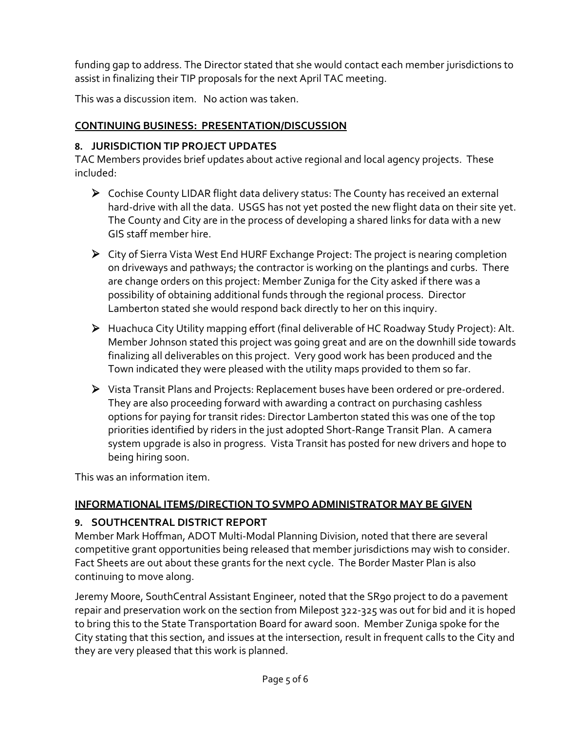funding gap to address. The Director stated that she would contact each member jurisdictions to assist in finalizing their TIP proposals for the next April TAC meeting.

This was a discussion item. No action was taken.

# **CONTINUING BUSINESS: PRESENTATION/DISCUSSION**

### **8. JURISDICTION TIP PROJECT UPDATES**

TAC Members provides brief updates about active regional and local agency projects. These included:

- Cochise County LIDAR flight data delivery status: The County has received an external hard-drive with all the data. USGS has not yet posted the new flight data on their site yet. The County and City are in the process of developing a shared links for data with a new GIS staff member hire.
- City of Sierra Vista West End HURF Exchange Project: The project is nearing completion on driveways and pathways; the contractor is working on the plantings and curbs. There are change orders on this project: Member Zuniga for the City asked if there was a possibility of obtaining additional funds through the regional process. Director Lamberton stated she would respond back directly to her on this inquiry.
- Huachuca City Utility mapping effort (final deliverable of HC Roadway Study Project): Alt. Member Johnson stated this project was going great and are on the downhill side towards finalizing all deliverables on this project. Very good work has been produced and the Town indicated they were pleased with the utility maps provided to them so far.
- Vista Transit Plans and Projects: Replacement buses have been ordered or pre-ordered. They are also proceeding forward with awarding a contract on purchasing cashless options for paying for transit rides: Director Lamberton stated this was one of the top priorities identified by riders in the just adopted Short-Range Transit Plan. A camera system upgrade is also in progress. Vista Transit has posted for new drivers and hope to being hiring soon.

This was an information item.

# **INFORMATIONAL ITEMS/DIRECTION TO SVMPO ADMINISTRATOR MAY BE GIVEN**

#### **9. SOUTHCENTRAL DISTRICT REPORT**

Member Mark Hoffman, ADOT Multi-Modal Planning Division, noted that there are several competitive grant opportunities being released that member jurisdictions may wish to consider. Fact Sheets are out about these grants for the next cycle. The Border Master Plan is also continuing to move along.

Jeremy Moore, SouthCentral Assistant Engineer, noted that the SR90 project to do a pavement repair and preservation work on the section from Milepost 322-325 was out for bid and it is hoped to bring this to the State Transportation Board for award soon. Member Zuniga spoke for the City stating that this section, and issues at the intersection, result in frequent calls to the City and they are very pleased that this work is planned.